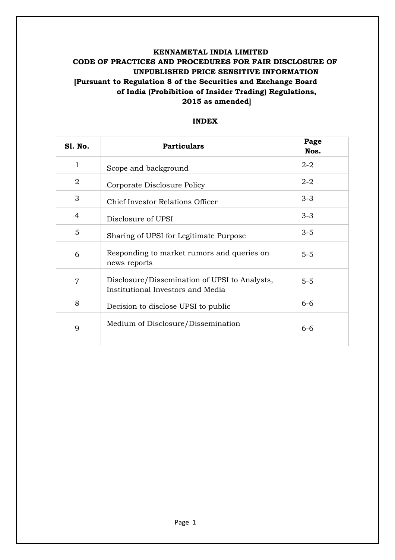# **KENNAMETAL INDIA LIMITED CODE OF PRACTICES AND PROCEDURES FOR FAIR DISCLOSURE OF UNPUBLISHED PRICE SENSITIVE INFORMATION [Pursuant to Regulation 8 of the Securities and Exchange Board of India (Prohibition of Insider Trading) Regulations, 2015 as amended]**

## **INDEX**

| <b>S1. No.</b> | <b>Particulars</b>                                                                 | Page<br>Nos. |
|----------------|------------------------------------------------------------------------------------|--------------|
| $\mathbf{1}$   | Scope and background                                                               | $2 - 2$      |
| $\overline{2}$ | Corporate Disclosure Policy                                                        | $2 - 2$      |
| 3              | Chief Investor Relations Officer                                                   | $3 - 3$      |
| $\overline{4}$ | Disclosure of UPSI                                                                 | $3 - 3$      |
| 5              | Sharing of UPSI for Legitimate Purpose                                             | $3 - 5$      |
| 6              | Responding to market rumors and queries on<br>news reports                         | $5-5$        |
| $\overline{7}$ | Disclosure/Dissemination of UPSI to Analysts,<br>Institutional Investors and Media | $5 - 5$      |
| 8              | Decision to disclose UPSI to public                                                | $6 - 6$      |
| 9              | Medium of Disclosure/Dissemination                                                 | $6 - 6$      |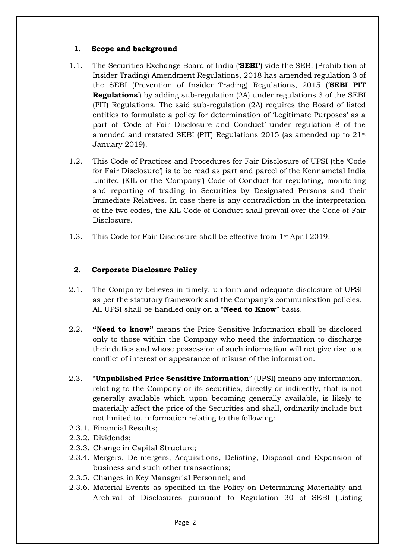## **1. Scope and background**

- 1.1. The Securities Exchange Board of India ('**SEBI'**) vide the SEBI (Prohibition of Insider Trading) Amendment Regulations, 2018 has amended regulation 3 of the SEBI (Prevention of Insider Trading) Regulations, 2015 ('**SEBI PIT Regulations**') by adding sub-regulation (2A) under regulations 3 of the SEBI (PIT) Regulations. The said sub-regulation (2A) requires the Board of listed entities to formulate a policy for determination of 'Legitimate Purposes' as a part of 'Code of Fair Disclosure and Conduct' under regulation 8 of the amended and restated SEBI (PIT) Regulations 2015 (as amended up to 21st January 2019).
- 1.2. This Code of Practices and Procedures for Fair Disclosure of UPSI (the 'Code for Fair Disclosure') is to be read as part and parcel of the Kennametal India Limited (KIL or the 'Company') Code of Conduct for regulating, monitoring and reporting of trading in Securities by Designated Persons and their Immediate Relatives. In case there is any contradiction in the interpretation of the two codes, the KIL Code of Conduct shall prevail over the Code of Fair Disclosure.
- 1.3. This Code for Fair Disclosure shall be effective from 1st April 2019.

## **2. Corporate Disclosure Policy**

- 2.1. The Company believes in timely, uniform and adequate disclosure of UPSI as per the statutory framework and the Company's communication policies. All UPSI shall be handled only on a "**Need to Know**" basis.
- 2.2. **"Need to know"** means the Price Sensitive Information shall be disclosed only to those within the Company who need the information to discharge their duties and whose possession of such information will not give rise to a conflict of interest or appearance of misuse of the information.
- 2.3. "**Unpublished Price Sensitive Information**" (UPSI) means any information, relating to the Company or its securities, directly or indirectly, that is not generally available which upon becoming generally available, is likely to materially affect the price of the Securities and shall, ordinarily include but not limited to, information relating to the following:
- 2.3.1. Financial Results;
- 2.3.2. Dividends;
- 2.3.3. Change in Capital Structure;
- 2.3.4. Mergers, De-mergers, Acquisitions, Delisting, Disposal and Expansion of business and such other transactions;
- 2.3.5. Changes in Key Managerial Personnel; and
- 2.3.6. Material Events as specified in the Policy on Determining Materiality and Archival of Disclosures pursuant to Regulation 30 of SEBI (Listing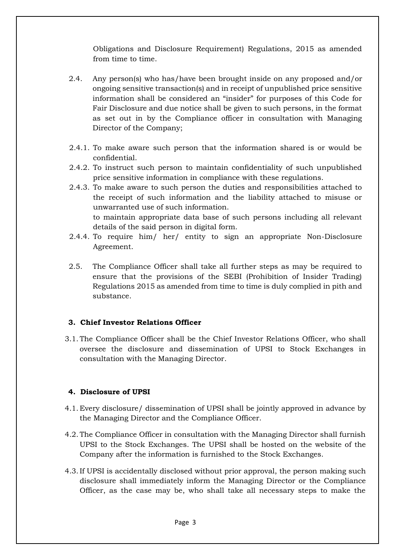Obligations and Disclosure Requirement) Regulations, 2015 as amended from time to time.

- 2.4. Any person(s) who has/have been brought inside on any proposed and/or ongoing sensitive transaction(s) and in receipt of unpublished price sensitive information shall be considered an "insider" for purposes of this Code for Fair Disclosure and due notice shall be given to such persons, in the format as set out in by the Compliance officer in consultation with Managing Director of the Company;
- 2.4.1. To make aware such person that the information shared is or would be confidential.
- 2.4.2. To instruct such person to maintain confidentiality of such unpublished price sensitive information in compliance with these regulations.
- 2.4.3. To make aware to such person the duties and responsibilities attached to the receipt of such information and the liability attached to misuse or unwarranted use of such information. to maintain appropriate data base of such persons including all relevant details of the said person in digital form.
- 2.4.4. To require him/ her/ entity to sign an appropriate Non-Disclosure Agreement.
- 2.5. The Compliance Officer shall take all further steps as may be required to ensure that the provisions of the SEBI (Prohibition of Insider Trading) Regulations 2015 as amended from time to time is duly complied in pith and substance.

## **3. Chief Investor Relations Officer**

3.1. The Compliance Officer shall be the Chief Investor Relations Officer, who shall oversee the disclosure and dissemination of UPSI to Stock Exchanges in consultation with the Managing Director.

## **4. Disclosure of UPSI**

- 4.1. Every disclosure/ dissemination of UPSI shall be jointly approved in advance by the Managing Director and the Compliance Officer.
- 4.2. The Compliance Officer in consultation with the Managing Director shall furnish UPSI to the Stock Exchanges. The UPSI shall be hosted on the website of the Company after the information is furnished to the Stock Exchanges.
- 4.3.If UPSI is accidentally disclosed without prior approval, the person making such disclosure shall immediately inform the Managing Director or the Compliance Officer, as the case may be, who shall take all necessary steps to make the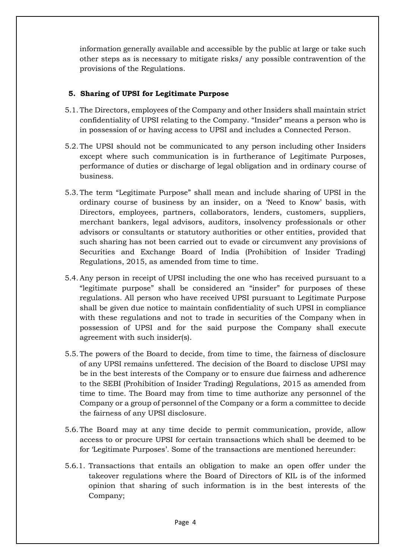information generally available and accessible by the public at large or take such other steps as is necessary to mitigate risks/ any possible contravention of the provisions of the Regulations.

## **5. Sharing of UPSI for Legitimate Purpose**

- 5.1. The Directors, employees of the Company and other Insiders shall maintain strict confidentiality of UPSI relating to the Company. "Insider" means a person who is in possession of or having access to UPSI and includes a Connected Person.
- 5.2. The UPSI should not be communicated to any person including other Insiders except where such communication is in furtherance of Legitimate Purposes, performance of duties or discharge of legal obligation and in ordinary course of business.
- 5.3. The term "Legitimate Purpose" shall mean and include sharing of UPSI in the ordinary course of business by an insider, on a 'Need to Know' basis, with Directors, employees, partners, collaborators, lenders, customers, suppliers, merchant bankers, legal advisors, auditors, insolvency professionals or other advisors or consultants or statutory authorities or other entities, provided that such sharing has not been carried out to evade or circumvent any provisions of Securities and Exchange Board of India (Prohibition of Insider Trading) Regulations, 2015, as amended from time to time.
- 5.4.Any person in receipt of UPSI including the one who has received pursuant to a "legitimate purpose" shall be considered an "insider" for purposes of these regulations. All person who have received UPSI pursuant to Legitimate Purpose shall be given due notice to maintain confidentiality of such UPSI in compliance with these regulations and not to trade in securities of the Company when in possession of UPSI and for the said purpose the Company shall execute agreement with such insider(s).
- 5.5. The powers of the Board to decide, from time to time, the fairness of disclosure of any UPSI remains unfettered. The decision of the Board to disclose UPSI may be in the best interests of the Company or to ensure due fairness and adherence to the SEBI (Prohibition of Insider Trading) Regulations, 2015 as amended from time to time. The Board may from time to time authorize any personnel of the Company or a group of personnel of the Company or a form a committee to decide the fairness of any UPSI disclosure.
- 5.6. The Board may at any time decide to permit communication, provide, allow access to or procure UPSI for certain transactions which shall be deemed to be for 'Legitimate Purposes'. Some of the transactions are mentioned hereunder:
- 5.6.1. Transactions that entails an obligation to make an open offer under the takeover regulations where the Board of Directors of KIL is of the informed opinion that sharing of such information is in the best interests of the Company;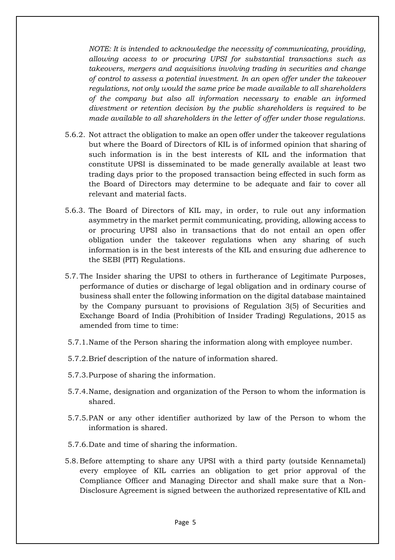*NOTE: It is intended to acknowledge the necessity of communicating, providing, allowing access to or procuring UPSI for substantial transactions such as takeovers, mergers and acquisitions involving trading in securities and change of control to assess a potential investment. In an open offer under the takeover regulations, not only would the same price be made available to all shareholders of the company but also all information necessary to enable an informed divestment or retention decision by the public shareholders is required to be made available to all shareholders in the letter of offer under those regulations.* 

- 5.6.2. Not attract the obligation to make an open offer under the takeover regulations but where the Board of Directors of KIL is of informed opinion that sharing of such information is in the best interests of KIL and the information that constitute UPSI is disseminated to be made generally available at least two trading days prior to the proposed transaction being effected in such form as the Board of Directors may determine to be adequate and fair to cover all relevant and material facts.
- 5.6.3. The Board of Directors of KIL may, in order, to rule out any information asymmetry in the market permit communicating, providing, allowing access to or procuring UPSI also in transactions that do not entail an open offer obligation under the takeover regulations when any sharing of such information is in the best interests of the KIL and ensuring due adherence to the SEBI (PIT) Regulations.
- 5.7. The Insider sharing the UPSI to others in furtherance of Legitimate Purposes, performance of duties or discharge of legal obligation and in ordinary course of business shall enter the following information on the digital database maintained by the Company pursuant to provisions of Regulation 3(5) of Securities and Exchange Board of India (Prohibition of Insider Trading) Regulations, 2015 as amended from time to time:
- 5.7.1.Name of the Person sharing the information along with employee number.
- 5.7.2.Brief description of the nature of information shared.
- 5.7.3.Purpose of sharing the information.
- 5.7.4.Name, designation and organization of the Person to whom the information is shared.
- 5.7.5.PAN or any other identifier authorized by law of the Person to whom the information is shared.
- 5.7.6.Date and time of sharing the information.
- 5.8. Before attempting to share any UPSI with a third party (outside Kennametal) every employee of KIL carries an obligation to get prior approval of the Compliance Officer and Managing Director and shall make sure that a Non-Disclosure Agreement is signed between the authorized representative of KIL and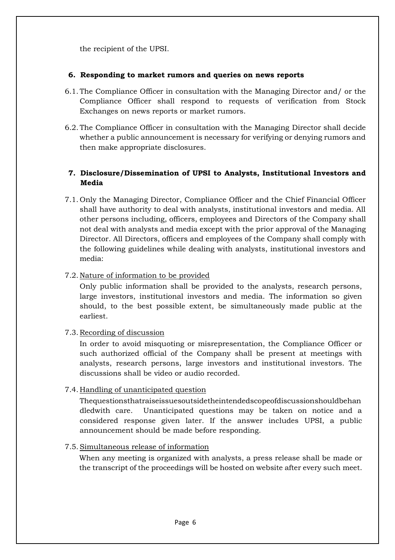the recipient of the UPSI.

#### **6. Responding to market rumors and queries on news reports**

- 6.1. The Compliance Officer in consultation with the Managing Director and/ or the Compliance Officer shall respond to requests of verification from Stock Exchanges on news reports or market rumors.
- 6.2. The Compliance Officer in consultation with the Managing Director shall decide whether a public announcement is necessary for verifying or denying rumors and then make appropriate disclosures.

## **7. Disclosure/Dissemination of UPSI to Analysts, Institutional Investors and Media**

7.1. Only the Managing Director, Compliance Officer and the Chief Financial Officer shall have authority to deal with analysts, institutional investors and media. All other persons including, officers, employees and Directors of the Company shall not deal with analysts and media except with the prior approval of the Managing Director. All Directors, officers and employees of the Company shall comply with the following guidelines while dealing with analysts, institutional investors and media:

## 7.2. Nature of information to be provided

Only public information shall be provided to the analysts, research persons, large investors, institutional investors and media. The information so given should, to the best possible extent, be simultaneously made public at the earliest.

## 7.3. Recording of discussion

In order to avoid misquoting or misrepresentation, the Compliance Officer or such authorized official of the Company shall be present at meetings with analysts, research persons, large investors and institutional investors. The discussions shall be video or audio recorded.

## 7.4. Handling of unanticipated question

Thequestionsthatraiseissuesoutsidetheintendedscopeofdiscussionshouldbehan dledwith care. Unanticipated questions may be taken on notice and a considered response given later. If the answer includes UPSI, a public announcement should be made before responding.

#### 7.5.Simultaneous release of information

When any meeting is organized with analysts, a press release shall be made or the transcript of the proceedings will be hosted on website after every such meet.